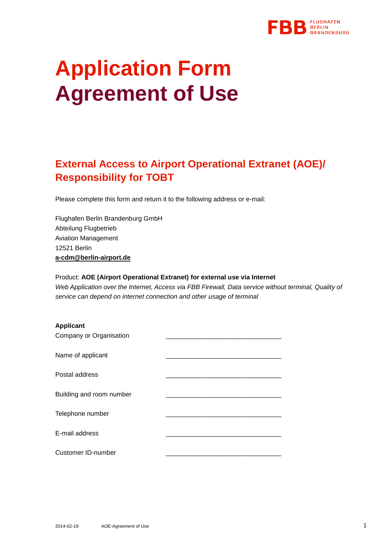

# **Application Form Agreement of Use**

## **External Access to Airport Operational Extranet (AOE)/ Responsibility for TOBT**

Please complete this form and return it to the following address or e-mail:

Flughafen Berlin Brandenburg GmbH Abteilung Flugbetrieb Aviation Management 12521 Berlin **[a-cdm@berlin-airport.de](mailto:a-cdm@berlin-airport.de)**

Product: **AOE (Airport Operational Extranet) for external use via Internet** *Web Application over the Internet, Access via FBB Firewall, Data service without terminal, Quality of service can depend on internet connection and other usage of terminal*

| <b>Applicant</b>          |  |
|---------------------------|--|
| Company or Organisation   |  |
| Name of applicant         |  |
| Postal address            |  |
| Building and room number  |  |
| Telephone number          |  |
| E-mail address            |  |
| <b>Customer ID-number</b> |  |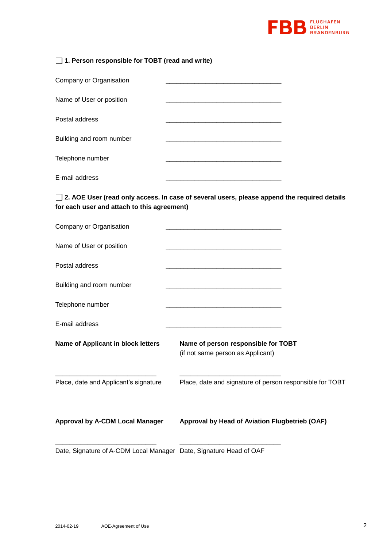

| $\Box$ 1. Person responsible for TOBT (read and write) |  |
|--------------------------------------------------------|--|
| Company or Organisation                                |  |
| Name of User or position                               |  |
| Postal address                                         |  |
| Building and room number                               |  |
| Telephone number                                       |  |
| E-mail address                                         |  |

**2. AOE User (read only access. In case of several users, please append the required details for each user and attach to this agreement)**

| Company or Organisation                                            |                                                                                                                       |
|--------------------------------------------------------------------|-----------------------------------------------------------------------------------------------------------------------|
| Name of User or position                                           |                                                                                                                       |
| Postal address                                                     | <u> 1980 - Johann Barbara, martin da basar da basar da basar da basar da basar da basar da basar da basar da basa</u> |
| Building and room number                                           |                                                                                                                       |
| Telephone number                                                   |                                                                                                                       |
| E-mail address                                                     |                                                                                                                       |
| Name of Applicant in block letters                                 | Name of person responsible for TOBT<br>(if not same person as Applicant)                                              |
| Place, date and Applicant's signature                              | Place, date and signature of person responsible for TOBT                                                              |
| <b>Approval by A-CDM Local Manager</b>                             | Approval by Head of Aviation Flugbetrieb (OAF)                                                                        |
| Date, Signature of A-CDM Local Manager Date, Signature Head of OAF |                                                                                                                       |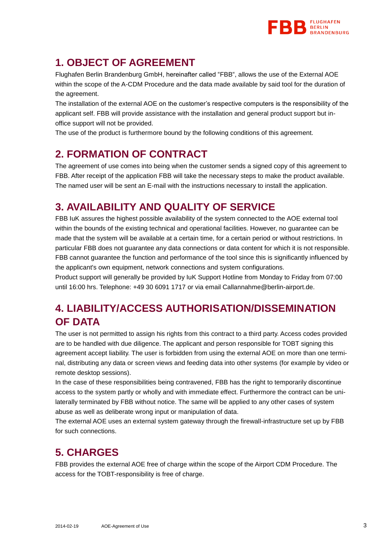

### **1. OBJECT OF AGREEMENT**

Flughafen Berlin Brandenburg GmbH, hereinafter called "FBB", allows the use of the External AOE within the scope of the A-CDM Procedure and the data made available by said tool for the duration of the agreement.

The installation of the external AOE on the customer's respective computers is the responsibility of the applicant self. FBB will provide assistance with the installation and general product support but inoffice support will not be provided.

The use of the product is furthermore bound by the following conditions of this agreement.

### **2. FORMATION OF CONTRACT**

The agreement of use comes into being when the customer sends a signed copy of this agreement to FBB. After receipt of the application FBB will take the necessary steps to make the product available. The named user will be sent an E-mail with the instructions necessary to install the application.

### **3. AVAILABILITY AND QUALITY OF SERVICE**

FBB IuK assures the highest possible availability of the system connected to the AOE external tool within the bounds of the existing technical and operational facilities. However, no guarantee can be made that the system will be available at a certain time, for a certain period or without restrictions. In particular FBB does not guarantee any data connections or data content for which it is not responsible. FBB cannot guarantee the function and performance of the tool since this is significantly influenced by the applicant's own equipment, network connections and system configurations.

Product support will generally be provided by IuK Support Hotline from Monday to Friday from 07:00 until 16:00 hrs. Telephone: +49 30 6091 1717 or via email Callannahme@berlin-airport.de.

## **4. LIABILITY/ACCESS AUTHORISATION/DISSEMINATION OF DATA**

The user is not permitted to assign his rights from this contract to a third party. Access codes provided are to be handled with due diligence. The applicant and person responsible for TOBT signing this agreement accept liability. The user is forbidden from using the external AOE on more than one terminal, distributing any data or screen views and feeding data into other systems (for example by video or remote desktop sessions).

In the case of these responsibilities being contravened, FBB has the right to temporarily discontinue access to the system partly or wholly and with immediate effect. Furthermore the contract can be unilaterally terminated by FBB without notice. The same will be applied to any other cases of system abuse as well as deliberate wrong input or manipulation of data.

The external AOE uses an external system gateway through the firewall-infrastructure set up by FBB for such connections.

### **5. CHARGES**

FBB provides the external AOE free of charge within the scope of the Airport CDM Procedure. The access for the TOBT-responsibility is free of charge.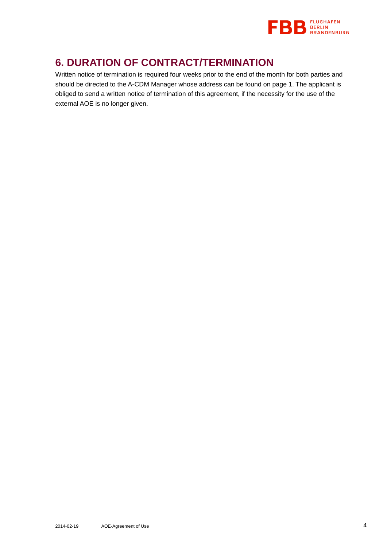

### **6. DURATION OF CONTRACT/TERMINATION**

Written notice of termination is required four weeks prior to the end of the month for both parties and should be directed to the A-CDM Manager whose address can be found on page 1. The applicant is obliged to send a written notice of termination of this agreement, if the necessity for the use of the external AOE is no longer given.